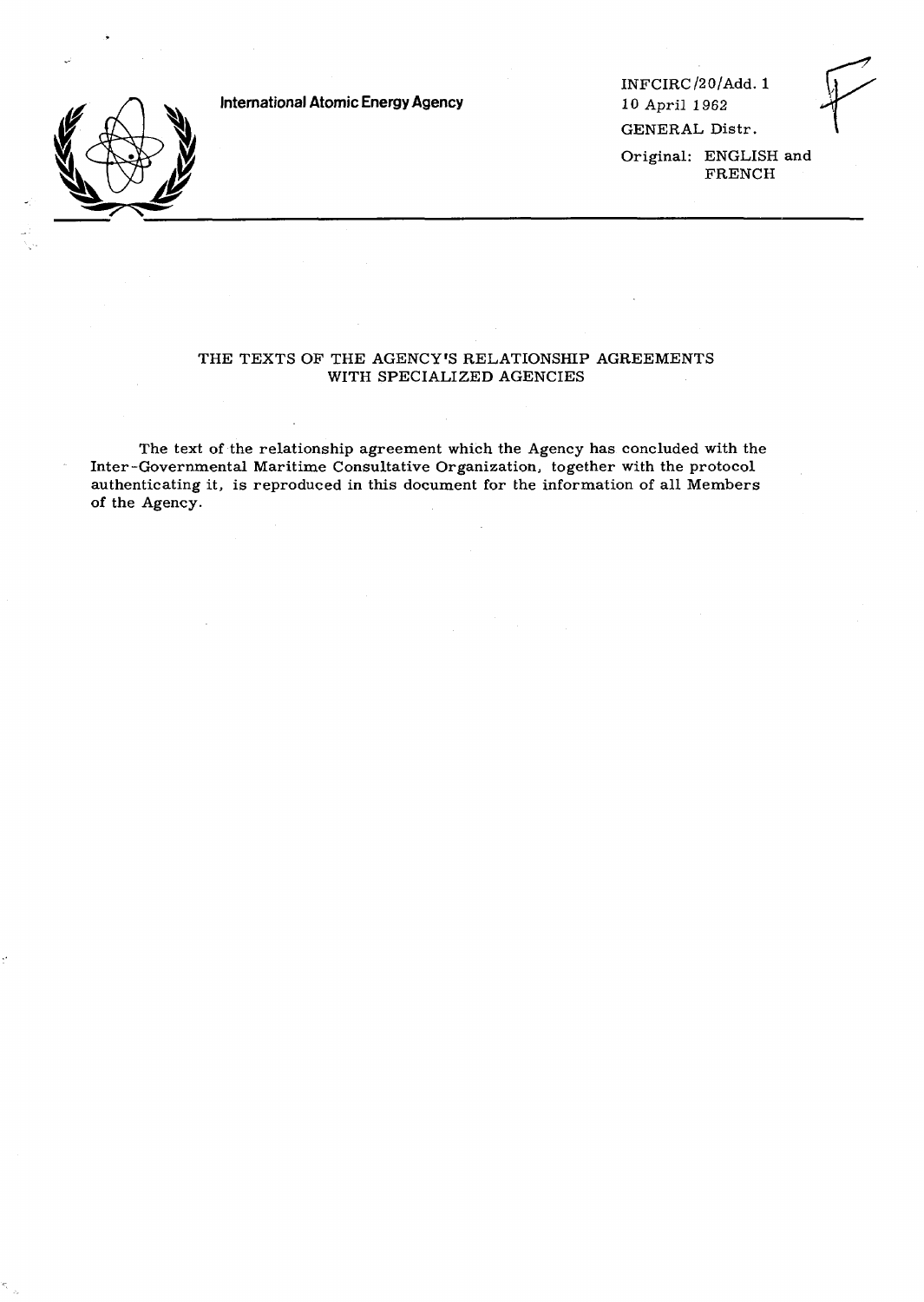**International Atomic Energy Agency**



INFCIRC/20/Add. 1 10 April 1962 GENERAL Distr.

Original: ENGLISH and FRENCH

# THE TEXTS OF THE AGENCY'S RELATIONSHIP AGREEMENTS WITH SPECIALIZED AGENCIES

The text of the relationship agreement which the Agency has concluded with the Inter-Governmental Maritime Consultative Organization, together with the protocol authenticating it, is reproduced in this document for the information of all Members of the Agency.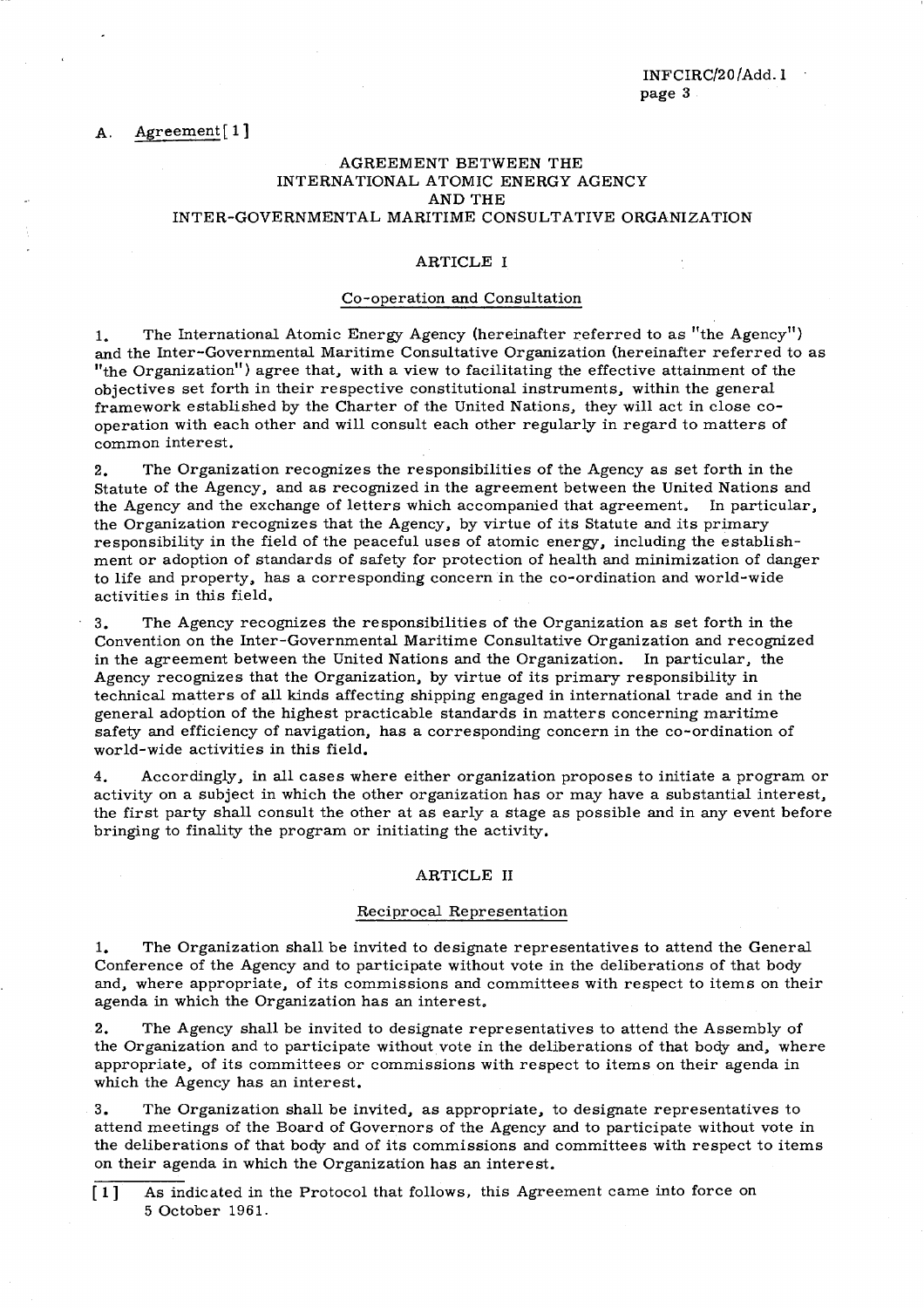# AGREEMENT BETWEEN THE INTERNATIONAL ATOMIC ENERGY AGENCY AND THE INTER-GOVERNMENTAL MARITIME CONSULTATIVE ORGANIZATION

# ARTICLE I

# Co-operation and Consultation

1. The International Atomic Energy Agency (hereinafter referred to as "the Agency") and the Inter-Governmental Maritime Consultative Organization (hereinafter referred to as "the Organization") agree that, with a view to facilitating the effective attainment of the objectives set forth in their respective constitutional instruments, within the general framework established by the Charter of the United Nations, they will act in close cooperation with each other and will consult each other regularly in regard to matters of common interest.

2. The Organization recognizes the responsibilities of the Agency as set forth in the Statute of the Agency, and as recognized in the agreement between the United Nations and the Agency and the exchange of letters which accompanied that agreement. In particular, the Organization recognizes that the Agency, by virtue of its Statute and its primary responsibility in the field of the peaceful uses of atomic energy, including the establishment or adoption of standards of safety for protection of health and minimization of danger to life and property, has a corresponding concern in the co-ordination and world-wide activities in this field.

3. The Agency recognizes the responsibilities of the Organization as set forth in the Convention on the Inter-Governmental Maritime Consultative Organization and recognized in the agreement between the United Nations and the Organization. In particular, the Agency recognizes that the Organization, by virtue of its primary responsibility in technical matters of all kinds affecting shipping engaged in international trade and in the general adoption of the highest practicable standards in matters concerning maritime safety and efficiency of navigation, has a corresponding concern in the co-ordination of world-wide activities in this field.

4. Accordingly, in all cases where either organization proposes to initiate a program or activity on a subject in which the other organization has or may have a substantial interest, the first party shall consult the other at as early a stage as possible and in any event before bringing to finality the program or initiating the activity.

### ARTICLE II

#### Reciprocal Representation

1. The Organization shall be invited to designate representatives to attend the General Conference of the Agency and to participate without vote in the deliberations of that body and, where appropriate, of its commissions and committees with respect to items on their agenda in which the Organization has an interest.

2. The Agency shall be invited to designate representatives to attend the Assembly of the Organization and to participate without vote in the deliberations of that body and, where appropriate, of its committees or commissions with respect to items on their agenda in which the Agency has an interest.

3. The Organization shall be invited, as appropriate, to designate representatives to attend meetings of the Board of Governors of the Agency and to participate without vote in the deliberations of that body and of its commissions and committees with respect to items on their agenda in which the Organization has an interest.

[1] As indicated in the Protocol that follows, this Agreement came into force on 5 October 1961.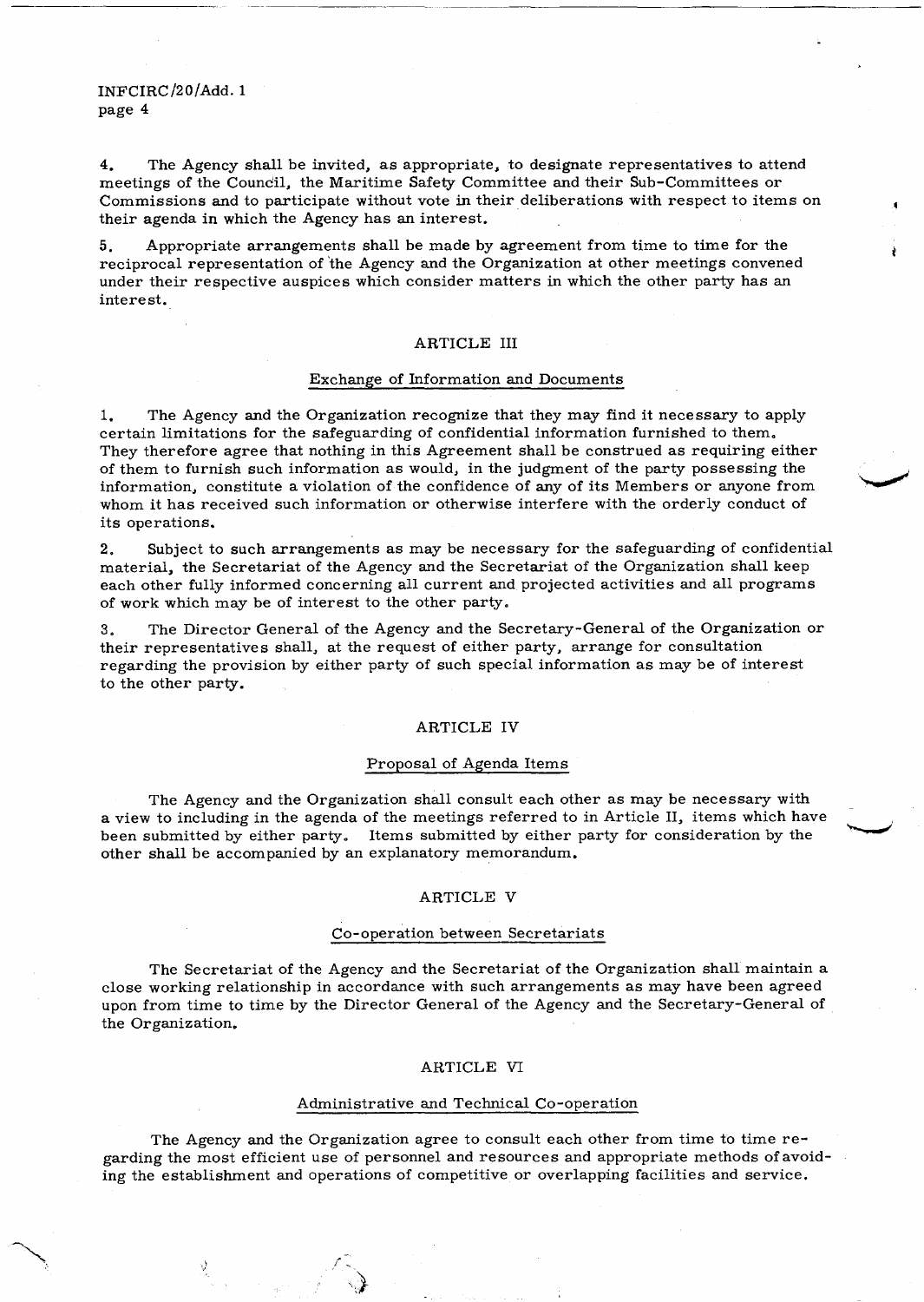4. The Agency shall be invited, as appropriate, to designate representatives to attend meetings of the Council, the Maritime Safety Committee and their Sub-Committees or Commissions and to participate without vote in their deliberations with respect to items on their agenda in which the Agency has an interest.

5. Appropriate arrangements shall be made by agreement from time to time for the reciprocal representation of the Agency and the Organization at other meetings convened under their respective auspices which consider matters in which the other party has an interest.

# ARTICLE III

#### Exchange of Information and Documents

1. The Agency and the Organization recognize that they may find it necessary to apply certain limitations for the safeguarding of confidential information furnished to them,, They therefore agree that nothing in this Agreement shall be construed as requiring either of them to furnish such information as would, in the judgment of the party possessing the information, constitute a violation of the confidence of any of its Members or anyone from whom it has received such information or otherwise interfere with the orderly conduct of its operations.

2. Subject to such arrangements as may be necessary for the safeguarding of confidential material, the Secretariat of the Agency and the Secretariat of the Organization shall keep each other fully informed concerning all current and projected activities and all programs of work which may be of interest to the other party.

3. The Director General of the Agency and the Secretary-General of the Organization or their representatives shall, at the request of either party, arrange for consultation regarding the provision by either party of such special information as may be of interest to the other party.

# ARTICLE IV

# Proposal of Agenda Items

The Agency and the Organization shall consult each other as may be necessary with a view to including in the agenda of the meetings referred to in Article II, items which have been submitted by either party. Items submitted by either party for consideration by the other shall be accompanied by an explanatory memorandum.

#### ARTICLE V

# Co-operation between Secretariats

The Secretariat of the Agency and the Secretariat of the Organization shall maintain a close working relationship in accordance with such arrangements as may have been agreed upon from time to time by the Director General of the Agency and the Secretary-General of the Organization.

#### ARTICLE VI

# Administrative and Technical Co-operation

The Agency and the Organization agree to consult each other from time to time regarding the most efficient use of personnel and resources and appropriate methods of avoiding the establishment and operations of competitive or overlapping facilities and service.

 $\mathcal{L}_{\mathbb{R}}$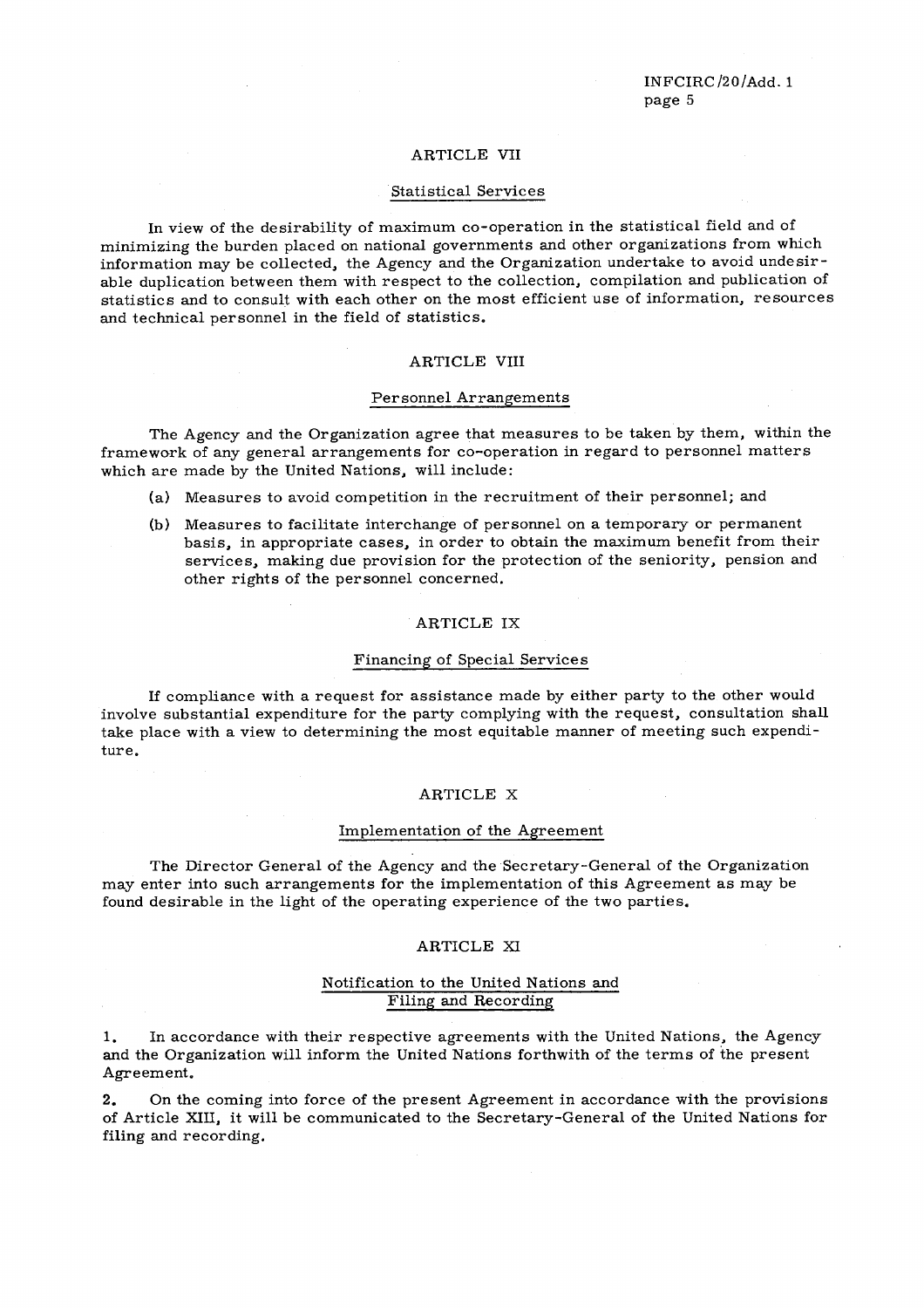### ARTICLE VII

#### Statistical Services

In view of the desirability of maximum co-operation in the statistical field and of minimizing the burden placed on national governments and other organizations from which information may be collected, the Agency and the Organization undertake to avoid undesirable duplication between them with respect to the collection, compilation and publication of statistics and to consult with each other on the most efficient use of information, resources and technical personnel in the field of statistics.

# ARTICLE VIII

#### Personnel Arrangements

The Agency and the Organization agree that measures to be taken by them, within the framework of any general arrangements for co-operation in regard to personnel matters which are made by the United Nations, will include:

- (a) Measures to avoid competition in the recruitment of their personnel; and
- (b) Measures to facilitate interchange of personnel on a temporary or permanent basis, in appropriate cases, in order to obtain the maximum benefit from their services, making due provision for the protection of the seniority, pension and other rights of the personnel concerned.

#### ARTICLE IX

# Financing of Special Services

If compliance with a request for assistance made by either party to the other would involve substantial expenditure for the party complying with the request, consultation shall take place with a view to determining the most equitable manner of meeting such expenditure.

# ARTICLE X

#### Implementation of the Agreement

The Director General of the Agency and the Secretary-General of the Organization may enter into such arrangements for the implementation of this Agreement as may be found desirable in the light of the operating experience of the two parties.

#### ARTICLE XI

# Notification to the United Nations and Filing and Recording

1. In accordance with their respective agreements with the United Nations, the Agency and the Organization will inform the United Nations forthwith of the terms of the present Agreement.

2. On the coming into force of the present Agreement in accordance with the provisions of Article XIII, it will be communicated to the Secretary-General of the United Nations for filing and recording.